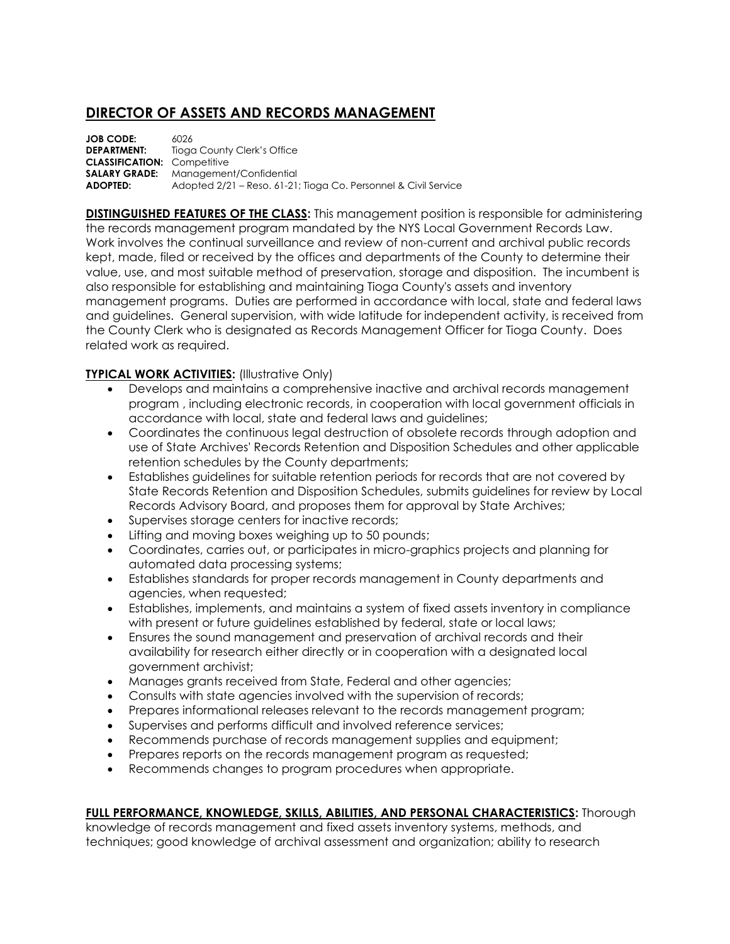## **DIRECTOR OF ASSETS AND RECORDS MANAGEMENT**

| <b>JOB CODE:</b>                   | 6026                                                            |
|------------------------------------|-----------------------------------------------------------------|
| <b>DEPARTMENT:</b>                 | Tioga County Clerk's Office                                     |
| <b>CLASSIFICATION: Competitive</b> |                                                                 |
|                                    | <b>SALARY GRADE:</b> Management/Confidential                    |
| ADOPTED:                           | Adopted 2/21 – Reso. 61-21; Tioga Co. Personnel & Civil Service |

**DISTINGUISHED FEATURES OF THE CLASS:** This management position is responsible for administering the records management program mandated by the NYS Local Government Records Law. Work involves the continual surveillance and review of non-current and archival public records kept, made, filed or received by the offices and departments of the County to determine their value, use, and most suitable method of preservation, storage and disposition. The incumbent is also responsible for establishing and maintaining Tioga County's assets and inventory management programs. Duties are performed in accordance with local, state and federal laws and guidelines. General supervision, with wide latitude for independent activity, is received from the County Clerk who is designated as Records Management Officer for Tioga County. Does related work as required.

## **TYPICAL WORK ACTIVITIES: (Illustrative Only)**

- Develops and maintains a comprehensive inactive and archival records management program , including electronic records, in cooperation with local government officials in accordance with local, state and federal laws and guidelines;
- Coordinates the continuous legal destruction of obsolete records through adoption and use of State Archives' Records Retention and Disposition Schedules and other applicable retention schedules by the County departments;
- Establishes guidelines for suitable retention periods for records that are not covered by State Records Retention and Disposition Schedules, submits guidelines for review by Local Records Advisory Board, and proposes them for approval by State Archives;
- Supervises storage centers for inactive records;
- Lifting and moving boxes weighing up to 50 pounds;
- Coordinates, carries out, or participates in micro-graphics projects and planning for automated data processing systems;
- Establishes standards for proper records management in County departments and agencies, when requested;
- Establishes, implements, and maintains a system of fixed assets inventory in compliance with present or future guidelines established by federal, state or local laws;
- Ensures the sound management and preservation of archival records and their availability for research either directly or in cooperation with a designated local government archivist;
- Manages grants received from State, Federal and other agencies;
- Consults with state agencies involved with the supervision of records;
- Prepares informational releases relevant to the records management program;
- Supervises and performs difficult and involved reference services;
- Recommends purchase of records management supplies and equipment;
- Prepares reports on the records management program as requested;
- Recommends changes to program procedures when appropriate.

## **FULL PERFORMANCE, KNOWLEDGE, SKILLS, ABILITIES, AND PERSONAL CHARACTERISTICS:** Thorough

knowledge of records management and fixed assets inventory systems, methods, and techniques; good knowledge of archival assessment and organization; ability to research